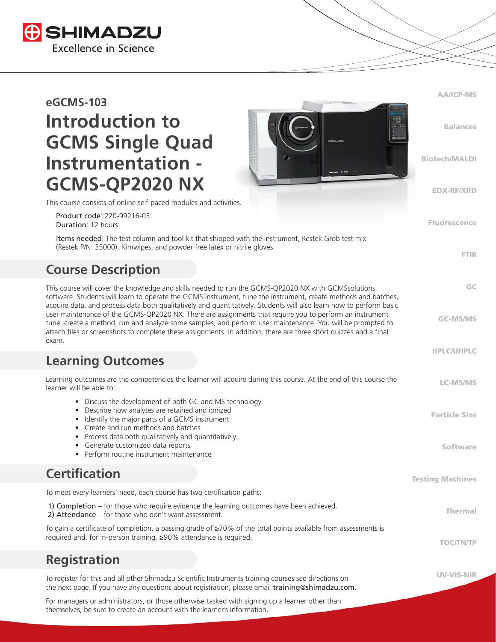

# **eGCMS-103 Introduction to GCMS Single Quad Instrumentation - GCMS-QP2020 NX**



Fluorescence

FTIR

GC

GC-MS/MS

HPLC/UHPLC

UV-VIS-NIR

This course consists of online self-paced modules and activities.

 Product code: 220-99216-03 Duration: 12 hours

 Items needed: The test column and tool kit that shipped with the instrument, Restek Grob test mix (Restek P/N: 35000), Kimwipes, and powder free latex or nitrile gloves.

# **Course Description**

This course will cover the knowledge and skills needed to run the GCMS-QP2020 NX with GCMSsolutions software. Students will learn to operate the GCMS instrument, tune the instrument, create methods and batches, acquire data, and process data both qualitatively and quantitatively. Students will also learn how to perform basic user maintenance of the GCMS-QP2020 NX. There are assignments that require you to perform an instrument tune, create a method, run and analyze some samples, and perform user maintenance. You will be prompted to attach files or screenshots to complete these assignments. In addition, there are three short quizzes and a final exam.

### **Learning Outcomes**

| Learning outcomes are the competencies the learner will acquire during this course. At the end of this course the<br>learner will be able to:                                                                                                                                                                                                                     | <b>LC-MS/MS</b>                  |
|-------------------------------------------------------------------------------------------------------------------------------------------------------------------------------------------------------------------------------------------------------------------------------------------------------------------------------------------------------------------|----------------------------------|
| • Discuss the development of both GC and MS technology<br>Describe how analytes are retained and ionized<br>$\bullet$<br>Identify the major parts of a GCMS instrument<br>• Create and run methods and batches<br>• Process data both qualitatively and quantitatively<br>Generate customized data reports<br>$\bullet$<br>Perform routine instrument maintenance | <b>Particle Size</b><br>Software |
| <b>Certification</b>                                                                                                                                                                                                                                                                                                                                              | <b>Testing Machines</b>          |
| To meet every learners' need, each course has two certification paths:                                                                                                                                                                                                                                                                                            |                                  |
| 1) Completion – for those who require evidence the learning outcomes have been achieved.<br>2) Attendance – for those who don't want assessment.                                                                                                                                                                                                                  | Thermal                          |
| To gain a certificate of completion, a passing grade of $\geq$ 70% of the total points available from assessments is<br>required and, for in-person training, ≥90% attendance is required.                                                                                                                                                                        | <b>TOC/TN/</b>                   |

**Registration**

To register for this and all other Shimadzu Scientific Instruments training courses see directions on the next page. If you have any questions about registration, please email training@shimadzu.com.

For managers or administrators, or those otherwise tasked with signing up a learner other than themselves, be sure to create an account with the learner's information.